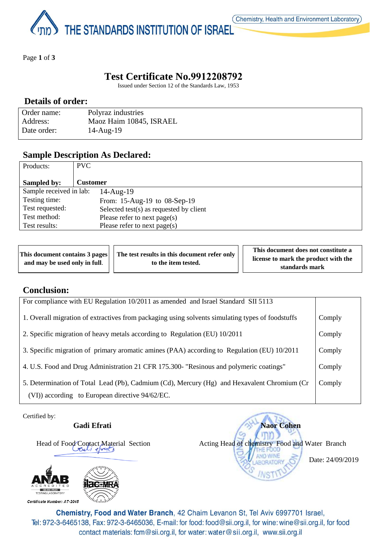THE STANDARDS INSTITUTION OF ISRAEL

Page **1** of **3**

## **Test Certificate No.9912208792**

Issued under Section 12 of the Standards Law, 1953

### **Details of order:**

| Order name: | Polyraz industries      |
|-------------|-------------------------|
| Address:    | Maoz Haim 10845, ISRAEL |
| Date order: | $14$ -Aug- $19$         |

### **Sample Description As Declared:**

| Products:               | PVC.                                    |
|-------------------------|-----------------------------------------|
|                         |                                         |
| Sampled by:             | <b>Customer</b>                         |
| Sample received in lab: | $14$ -Aug- $19$                         |
| Testing time:           | From: 15-Aug-19 to 08-Sep-19            |
| Test requested:         | Selected test(s) as requested by client |
| Test method:            | Please refer to next page(s)            |
| Test results:           | Please refer to next page(s)            |

|                               | This document contains 3 pages     The test results in this document refer only | This document does not constitute a                    |
|-------------------------------|---------------------------------------------------------------------------------|--------------------------------------------------------|
| and may be used only in full. | to the item tested.                                                             | license to mark the product with the<br>standards mark |

## **Conclusion:**

| For compliance with EU Regulation 10/2011 as amended and Israel Standard SII 5113                |        |
|--------------------------------------------------------------------------------------------------|--------|
| 1. Overall migration of extractives from packaging using solvents simulating types of foodstuffs | Comply |
| 2. Specific migration of heavy metals according to Regulation (EU) 10/2011                       | Comply |
| 3. Specific migration of primary aromatic amines (PAA) according to Regulation (EU) 10/2011      | Comply |
| 4. U.S. Food and Drug Administration 21 CFR 175.300- "Resinous and polymeric coatings"           | Comply |
| 5. Determination of Total Lead (Pb), Cadmium (Cd), Mercury (Hg) and Hexavalent Chromium (Cr      | Comply |
| (VI)) according to European directive 94/62/EC.                                                  |        |

Certified by:



Gadi Efrati **Naor Cohen**  Head of Food Contact Material Section Acting Head of chemistry Food and Water Branch Date: 24/09/2019NS

Chemistry, Food and Water Branch, 42 Chaim Levanon St, Tel Aviv 6997701 Israel, Tel: 972-3-6465138, Fax: 972-3-6465036, E-mail: for food: food@sii.org.il, for wine: wine@sii.org.il, for food contact materials: fcm@sii.org.il, for water: water@sii.org.il, www.sii.org.il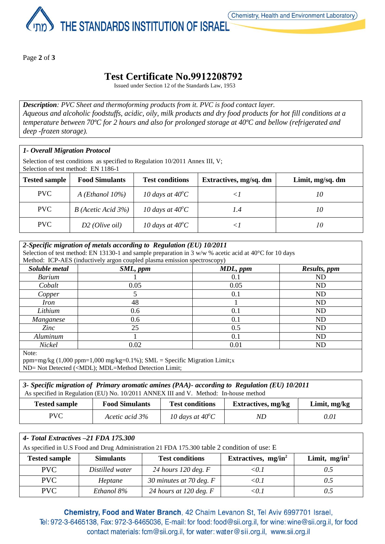

Page **2** of **3**

# **Test Certificate No.9912208792**

Issued under Section 12 of the Standards Law, 1953

*Description: PVC Sheet and thermoforming products from it. PVC is food contact layer. Aqueous and alcoholic foodstuffs, acidic, oily, milk products and dry food products for hot fill conditions at a temperature between 70ºC for 2 hours and also for prolonged storage at 40ºC and bellow (refrigerated and deep -frozen storage).*

### *1- Overall Migration Protocol*

Selection of test conditions as specified to Regulation 10/2011 Annex III, V; Selection of test method: EN 1186-1

| <b>Tested sample</b> | <b>Food Simulants</b>     | <b>Test conditions</b>    | Extractives, mg/sq. dm | Limit, mg/sq. dm |
|----------------------|---------------------------|---------------------------|------------------------|------------------|
| PVC                  | $A$ ( <i>Ethanol</i> 10%) | 10 days at $40^{\circ}$ C |                        | 10               |
| PVC.                 | $B$ (Acetic Acid 3%)      | 10 days at $40^{\circ}$ C | I.4                    | 10               |
| PVC.                 | $D2$ ( <i>Olive oil</i> ) | 10 days at $40^{\circ}$ C |                        | 10               |

| 2-Specific migration of metals according to Regulation (EU) 10/2011                                              |                                                                          |          |              |  |
|------------------------------------------------------------------------------------------------------------------|--------------------------------------------------------------------------|----------|--------------|--|
| Selection of test method: EN 13130-1 and sample preparation in 3 w/w % acetic acid at $40^{\circ}$ C for 10 days |                                                                          |          |              |  |
|                                                                                                                  | Method: ICP-AES (inductively argon coupled plasma emission spectroscopy) |          |              |  |
| Soluble metal                                                                                                    | SML, ppm                                                                 | MDL, ppm | Results, ppm |  |
| <b>Barium</b>                                                                                                    |                                                                          | 0.1      | ND           |  |
| Cobalt                                                                                                           | 0.05                                                                     | 0.05     | <b>ND</b>    |  |
| Copper                                                                                                           |                                                                          | 0.1      | ND           |  |
| <i>Iron</i>                                                                                                      | 48                                                                       |          | ND           |  |
| Lithium                                                                                                          | 0.6                                                                      | 0.1      | ND           |  |
| Manganese                                                                                                        | 0.6                                                                      | 0.1      | <b>ND</b>    |  |
| Zinc                                                                                                             | 25                                                                       | 0.5      | ND           |  |
| Aluminum                                                                                                         |                                                                          | 0.1      | ND           |  |
| Nickel                                                                                                           | 0.02                                                                     | 0.01     | ND           |  |
| $N_{\text{max}}$                                                                                                 |                                                                          |          |              |  |

Note:

ppm=mg/kg  $(1,000 \text{ ppm}=1,000 \text{ mg/kg}=0.1\%)$ ; SML = Specific Migration Limit;x ND= Not Detected (<MDL); MDL=Method Detection Limit;

| 3- Specific migration of Primary aromatic amines (PAA)- according to Regulation (EU) 10/2011 |                                                                                      |                           |                           |                |  |
|----------------------------------------------------------------------------------------------|--------------------------------------------------------------------------------------|---------------------------|---------------------------|----------------|--|
|                                                                                              | As specified in Regulation (EU) No. 10/2011 ANNEX III and V. Method: In-house method |                           |                           |                |  |
| <b>Tested sample</b>                                                                         | <b>Food Simulants</b>                                                                | <b>Test conditions</b>    | <b>Extractives, mg/kg</b> | Limit, $mg/kg$ |  |
| PVC.                                                                                         | Acetic acid 3%                                                                       | 10 days at $40^{\circ}$ C | ND.                       | 0.01           |  |

| 4- Total Extractives -21 FDA 175.300                                                        |                  |                           |                        |                  |  |
|---------------------------------------------------------------------------------------------|------------------|---------------------------|------------------------|------------------|--|
| As specified in U.S Food and Drug Administration 21 FDA 175.300 table 2 condition of use: E |                  |                           |                        |                  |  |
| <b>Tested sample</b>                                                                        | <b>Simulants</b> | <b>Test conditions</b>    | Extractives, $mg/in^2$ | Limit, $mg/in^2$ |  |
| <b>PVC</b>                                                                                  | Distilled water  | 24 hours 120 deg. $F$     | $\leq 0.1$             | 0.5              |  |
| <b>PVC</b>                                                                                  | Heptane          | 30 minutes at 70 deg. $F$ | < 0.1                  | 0.5              |  |
| <b>PVC</b>                                                                                  | Ethanol 8%       | 24 hours at 120 deg. $F$  | ת (                    | 0.5              |  |

Chemistry, Food and Water Branch, 42 Chaim Levanon St, Tel Aviv 6997701 Israel, Tel: 972-3-6465138, Fax: 972-3-6465036, E-mail: for food: food@sii.org.il, for wine: wine@sii.org.il, for food contact materials: fcm@sii.org.il, for water: water@sii.org.il, www.sii.org.il